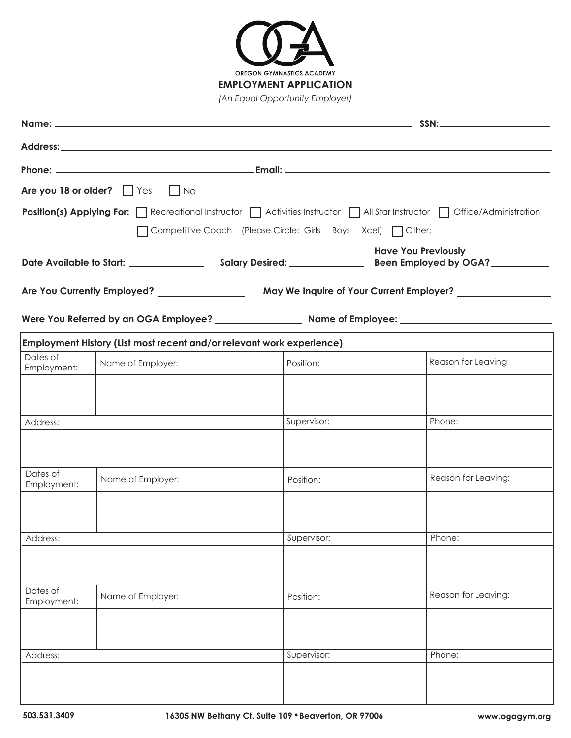

|                         | Are you 18 or older? $\Box$ Yes $\Box$ No |                                                                       |                                                                                                                         |  |  |  |  |
|-------------------------|-------------------------------------------|-----------------------------------------------------------------------|-------------------------------------------------------------------------------------------------------------------------|--|--|--|--|
|                         |                                           |                                                                       | Position(s) Applying For: Recreational Instructor   Activities Instructor   All Star Instructor   Office/Administration |  |  |  |  |
|                         |                                           |                                                                       | ◯ Competitive Coach (Please Circle: Girls Boys Xcel) ◯ Other: ___________________                                       |  |  |  |  |
|                         |                                           |                                                                       | <b>Have You Previously</b>                                                                                              |  |  |  |  |
|                         |                                           |                                                                       |                                                                                                                         |  |  |  |  |
|                         |                                           |                                                                       |                                                                                                                         |  |  |  |  |
|                         |                                           |                                                                       |                                                                                                                         |  |  |  |  |
|                         |                                           | Employment History (List most recent and/or relevant work experience) |                                                                                                                         |  |  |  |  |
| Dates of<br>Employment: | Name of Employer:                         | Position:                                                             | Reason for Leaving:                                                                                                     |  |  |  |  |
|                         |                                           |                                                                       |                                                                                                                         |  |  |  |  |
|                         |                                           |                                                                       |                                                                                                                         |  |  |  |  |
| Address:                |                                           | Supervisor:                                                           | Phone:                                                                                                                  |  |  |  |  |
|                         |                                           |                                                                       |                                                                                                                         |  |  |  |  |
| Dates of<br>Employment: | Name of Employer:                         | Position:                                                             | Reason for Leaving:                                                                                                     |  |  |  |  |
|                         |                                           |                                                                       |                                                                                                                         |  |  |  |  |
| Address:                |                                           | Supervisor:                                                           | Phone:                                                                                                                  |  |  |  |  |
|                         |                                           |                                                                       |                                                                                                                         |  |  |  |  |
|                         |                                           |                                                                       |                                                                                                                         |  |  |  |  |
| Dates of<br>Employment: | Name of Employer:                         | Position:                                                             | Reason for Leaving:                                                                                                     |  |  |  |  |
|                         |                                           |                                                                       |                                                                                                                         |  |  |  |  |
|                         |                                           |                                                                       |                                                                                                                         |  |  |  |  |
| Address:                |                                           | Supervisor:                                                           | Phone:                                                                                                                  |  |  |  |  |
|                         |                                           |                                                                       |                                                                                                                         |  |  |  |  |